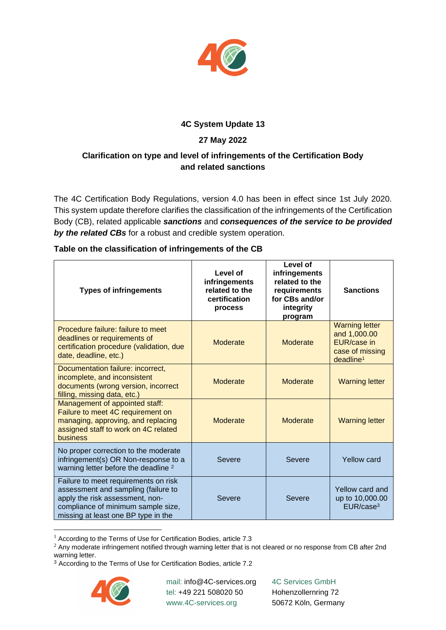

## **4C System Update 13**

# **27 May 2022**

## **Clarification on type and level of infringements of the Certification Body and related sanctions**

The 4C Certification Body Regulations, version 4.0 has been in effect since 1st July 2020. This system update therefore clarifies the classification of the infringements of the Certification Body (CB), related applicable *sanctions* and *consequences of the service to be provided by the related CBs* for a robust and credible system operation.

| <b>Types of infringements</b>                                                                                                                                                               | Level of<br>infringements<br>related to the<br>certification<br>process | Level of<br>infringements<br>related to the<br>requirements<br>for CBs and/or<br>integrity<br>program | <b>Sanctions</b>                                                                                 |
|---------------------------------------------------------------------------------------------------------------------------------------------------------------------------------------------|-------------------------------------------------------------------------|-------------------------------------------------------------------------------------------------------|--------------------------------------------------------------------------------------------------|
| Procedure failure: failure to meet<br>deadlines or requirements of<br>certification procedure (validation, due<br>date, deadline, etc.)                                                     | Moderate                                                                | <b>Moderate</b>                                                                                       | <b>Warning letter</b><br>and 1,000.00<br>EUR/case in<br>case of missing<br>deadline <sup>1</sup> |
| Documentation failure: incorrect,<br>incomplete, and inconsistent<br>documents (wrong version, incorrect<br>filling, missing data, etc.)                                                    | Moderate                                                                | <b>Moderate</b>                                                                                       | <b>Warning letter</b>                                                                            |
| Management of appointed staff:<br>Failure to meet 4C requirement on<br>managing, approving, and replacing<br>assigned staff to work on 4C related<br>business                               | Moderate                                                                | Moderate                                                                                              | <b>Warning letter</b>                                                                            |
| No proper correction to the moderate<br>infringement(s) OR Non-response to a<br>warning letter before the deadline <sup>2</sup>                                                             | Severe                                                                  | <b>Severe</b>                                                                                         | <b>Yellow card</b>                                                                               |
| Failure to meet requirements on risk<br>assessment and sampling (failure to<br>apply the risk assessment, non-<br>compliance of minimum sample size,<br>missing at least one BP type in the | Severe                                                                  | Severe                                                                                                | Yellow card and<br>up to 10,000.00<br>EURE/case <sup>3</sup>                                     |

#### **Table on the classification of infringements of the CB**

<sup>3</sup> According to the Terms of Use for Certification Bodies, article 7.2



mail: info@4C-services.org tel: +49 221 508020 50 www.4C-services.org

4C Services GmbH Hohenzollernring 72 50672 Köln, Germany

 $1$  According to the Terms of Use for Certification Bodies, article 7.3

<sup>&</sup>lt;sup>2</sup> Any moderate infringement notified through warning letter that is not cleared or no response from CB after 2nd warning letter.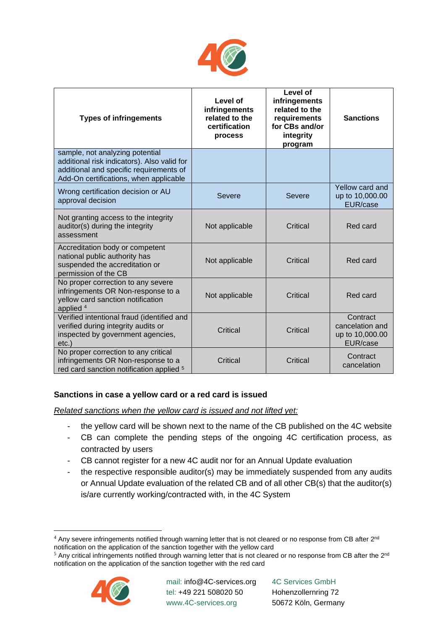

| <b>Types of infringements</b>                                                                                                                                       | Level of<br>infringements<br>related to the<br>certification<br>process | Level of<br>infringements<br>related to the<br>requirements<br>for CBs and/or<br>integrity<br>program | <b>Sanctions</b>                                           |
|---------------------------------------------------------------------------------------------------------------------------------------------------------------------|-------------------------------------------------------------------------|-------------------------------------------------------------------------------------------------------|------------------------------------------------------------|
| sample, not analyzing potential<br>additional risk indicators). Also valid for<br>additional and specific requirements of<br>Add-On certifications, when applicable |                                                                         |                                                                                                       |                                                            |
| Wrong certification decision or AU<br>approval decision                                                                                                             | Severe                                                                  | <b>Severe</b>                                                                                         | Yellow card and<br>up to 10,000.00<br>EUR/case             |
| Not granting access to the integrity<br>auditor(s) during the integrity<br>assessment                                                                               | Not applicable                                                          | Critical                                                                                              | Red card                                                   |
| Accreditation body or competent<br>national public authority has<br>suspended the accreditation or<br>permission of the CB                                          | Not applicable                                                          | Critical                                                                                              | Red card                                                   |
| No proper correction to any severe<br>infringements OR Non-response to a<br>yellow card sanction notification<br>applied $4$                                        | Not applicable                                                          | Critical                                                                                              | Red card                                                   |
| Verified intentional fraud (identified and<br>verified during integrity audits or<br>inspected by government agencies,<br>$etc.$ )                                  | Critical                                                                | Critical                                                                                              | Contract<br>cancelation and<br>up to 10,000.00<br>EUR/case |
| No proper correction to any critical<br>infringements OR Non-response to a<br>red card sanction notification applied <sup>5</sup>                                   | Critical                                                                | Critical                                                                                              | Contract<br>cancelation                                    |

### **Sanctions in case a yellow card or a red card is issued**

*Related sanctions when the yellow card is issued and not lifted yet:*

- the yellow card will be shown next to the name of the CB published on the 4C website
- CB can complete the pending steps of the ongoing 4C certification process, as contracted by users
- CB cannot register for a new 4C audit nor for an Annual Update evaluation
- the respective responsible auditor(s) may be immediately suspended from any audits or Annual Update evaluation of the related CB and of all other CB(s) that the auditor(s) is/are currently working/contracted with, in the 4C System

<sup>&</sup>lt;sup>5</sup> Any critical infringements notified through warning letter that is not cleared or no response from CB after the 2<sup>nd</sup> notification on the application of the sanction together with the red card



 $4$  Any severe infringements notified through warning letter that is not cleared or no response from CB after 2<sup>nd</sup> notification on the application of the sanction together with the yellow card